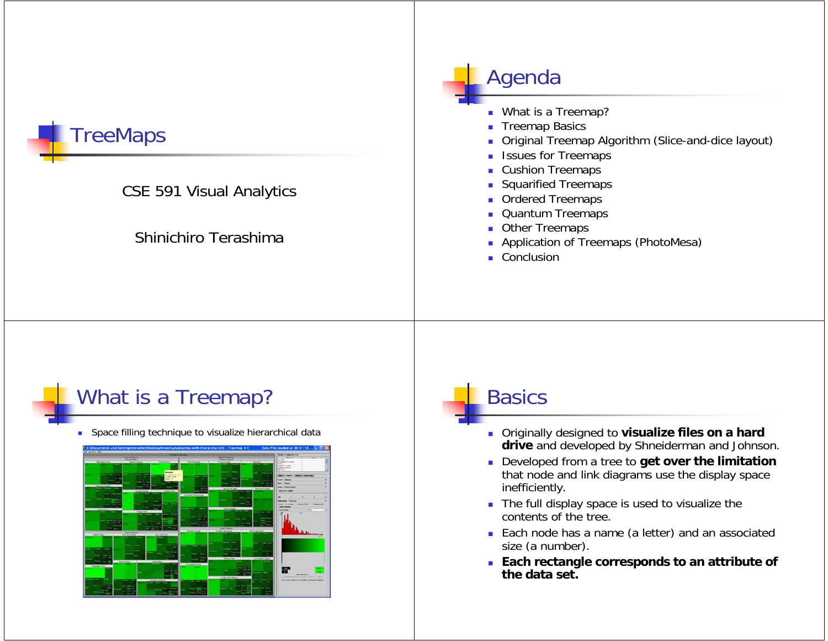

### Agenda

- What is a Treemap?
- Treemap Basics
- Original Treemap Algorithm (Slice-and-dice layout)
- **In Issues for Treemaps**
- **Cushion Treemaps**
- **Squarified Treemaps**
- **Drdered Treemaps**
- **Quantum Treemaps**
- Other Treemaps
- **Application of Treemaps (PhotoMesa)**
- Conclusion

# What is a Treemap?

Space filling technique to visualize hierarchical data



# **Basics**

- Originally designed to **visualize files on a hard drive** and developed by Shneiderman and Johnson.
- Developed from a tree to **get over the limitation** that node and link diagrams use the display space inefficiently.
- The full display space is used to visualize the contents of the tree.
- Each node has a name (a letter) and an associated size (a number).
- **Each rectangle corresponds to an attribute of the data set.**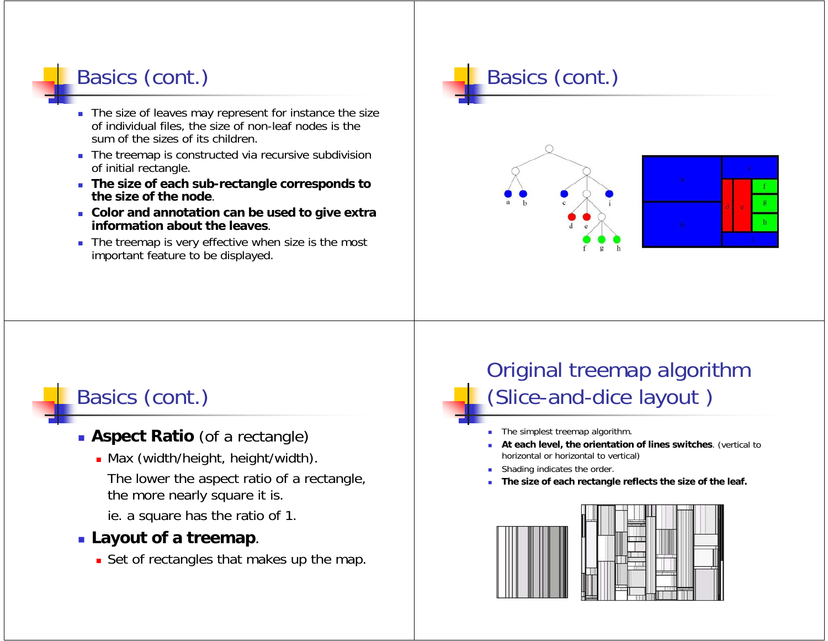# Basics (cont.)

- The size of leaves may represent for instance the size of individual files, the size of non-leaf nodes is the sum of the sizes of its children.
- **The treemap is constructed via recursive subdivision** of initial rectangle.
- **The size of each sub-rectangle corresponds to the size of the node**.
- **Color and annotation can be used to give extra information about the leaves**.
- The treemap is very effective when size is the most important feature to be displayed.

# Basics (cont.)





# Basics (cont.)

- **Aspect Ratio** (of a rectangle)
	- Max (width/height, height/width).
	- The lower the aspect ratio of a rectangle, the more nearly square it is.
	- ie. a square has the ratio of 1.
- **Layout of a treemap**.
	- Set of rectangles that makes up the map.

### Original treemap algorithm (Slice-and-dice layout )

- г The simplest treemap algorithm.
- L **At each level, the orientation of lines switches**. (vertical to horizontal or horizontal to vertical)
- г Shading indicates the order.
- Г **The size of each rectangle reflects the size of the leaf.**

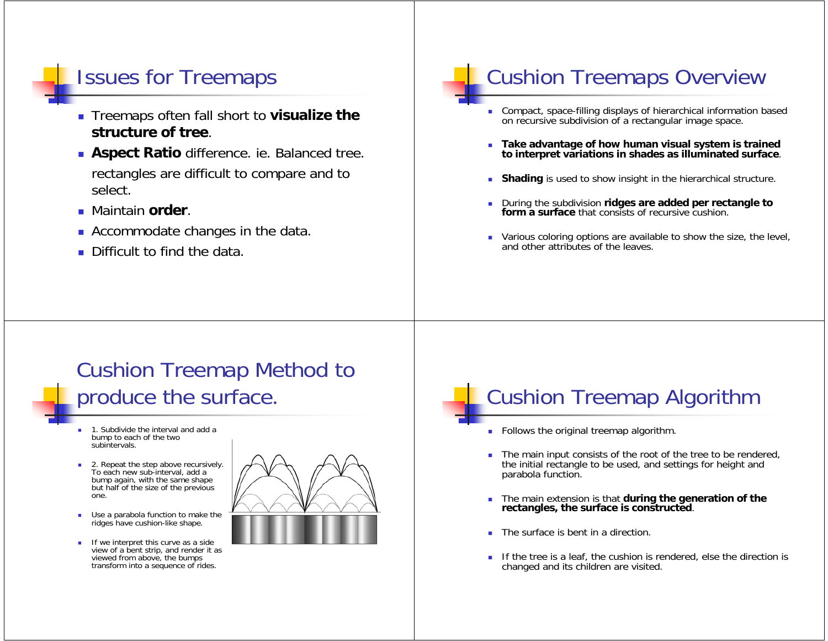### Issues for Treemaps

- Treemaps often fall short to **visualize the structure of tree**.
- **Aspect Ratio** difference. ie. Balanced tree. rectangles are difficult to compare and to select.
- Maintain **order**.
- **Accommodate changes in the data.**
- **Difficult to find the data.**

### Cushion Treemaps Overview

- Compact, space-filling displays of hierarchical information based on recursive subdivision of a rectangular image space.
- ш **Take advantage of how human visual system is trained to interpret variations in shades as illuminated surface**.
- **Shading** is used to show insight in the hierarchical structure.
- During the subdivision **ridges are added per rectangle to form a surface** that consists of recursive cushion.
- Various coloring options are available to show the size, the level, and other attributes of the leaves.

### Cushion Treemap Method to produce the surface.

- 1. Subdivide the interval and add a bump to each of the two subintervals.
- 2. Repeat the step above recursively. To each new sub-interval, add a bump again, with the same shape but half of the size of the previous one.
- Use a parabola function to make the ridges have cushion-like shape.
- ٠ If we interpret this curve as a side view of a bent strip, and render it as viewed from above, the bumps transform into a sequence of rides.



# Cushion Treemap Algorithm

- **Follows the original treemap algorithm.**
- The main input consists of the root of the tree to be rendered, the initial rectangle to be used, and settings for height and parabola function.
- The main extension is that **during the generation of the rectangles, the surface is constructed**.
- **The surface is bent in a direction.**
- If the tree is a leaf, the cushion is rendered, else the direction is changed and its children are visited.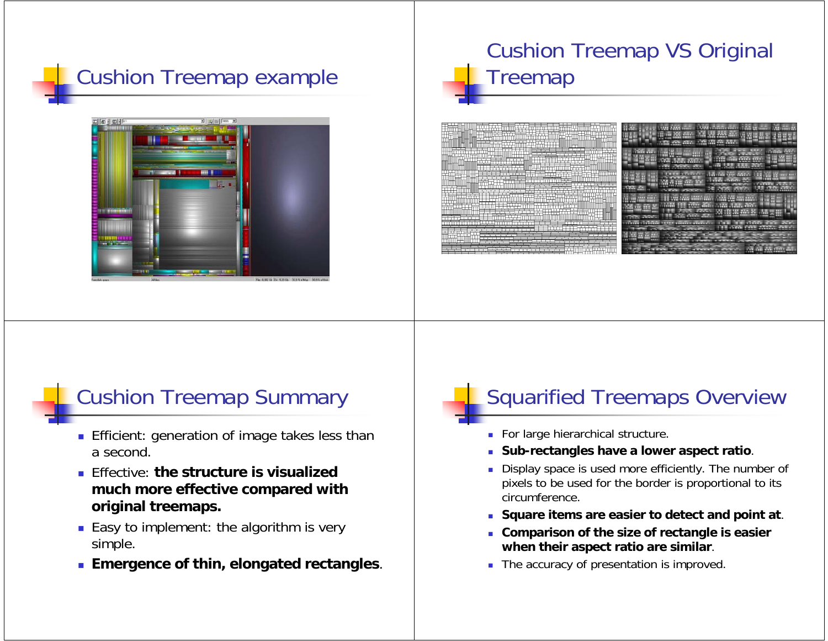



# Cushion Treemap VS Original Treemap



### Cushion Treemap Summary

- **Efficient: generation of image takes less than** a second.
- Effective: **the structure is visualized much more effective compared with original treemaps.**
- Easy to implement: the algorithm is very simple.
- **Emergence of thin, elongated rectangles**.

# Squarified Treemaps Overview

- **For large hierarchical structure.**
- **Sub-rectangles have a lower aspect ratio**.
- Display space is used more efficiently. The number of pixels to be used for the border is proportional to its circumference.
- **Square items are easier to detect and point at**.
- **Comparison of the size of rectangle is easier when their aspect ratio are similar**.
- The accuracy of presentation is improved.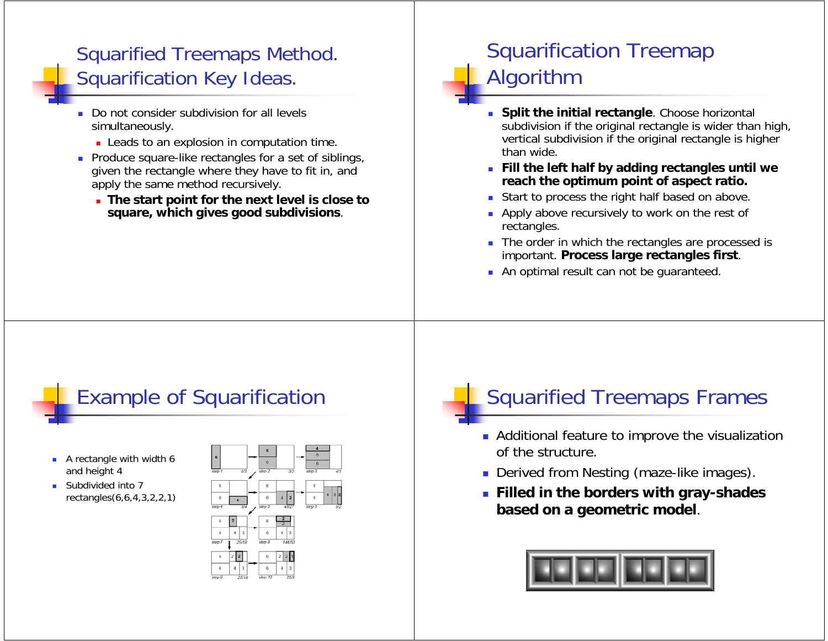### Squarified Treemaps Method. Squarification Key Ideas.

- Do not consider subdivision for all levels simultaneously.
	- **Leads to an explosion in computation time.**
- **Produce square-like rectangles for a set of siblings,** given the rectangle where they have to fit in, and apply the same method recursively.
	- **The start point for the next level is close to square, which gives good subdivisions**.

# Squarification Treemap Algorithm

- **Split the initial rectangle**. Choose horizontal subdivision if the original rectangle is wider than high, vertical subdivision if the original rectangle is higher than wide.
- **Fill the left half by adding rectangles until we reach the optimum point of aspect ratio.**
- Start to process the right half based on above.
- **Apply above recursively to work on the rest of** rectangles.
- The order in which the rectangles are processed is important. **Process large rectangles first**.
- An optimal result can not be guaranteed.

# Example of Squarification

- **A** rectangle with width 6 and height 4
- Subdivided into 7 rectangles(6,6,4,3,2,2,1)



# Squarified Treemaps Frames

- **Additional feature to improve the visualization** of the structure.
- **Derived from Nesting (maze-like images).**
- **Filled in the borders with gray-shades based on a geometric model**.

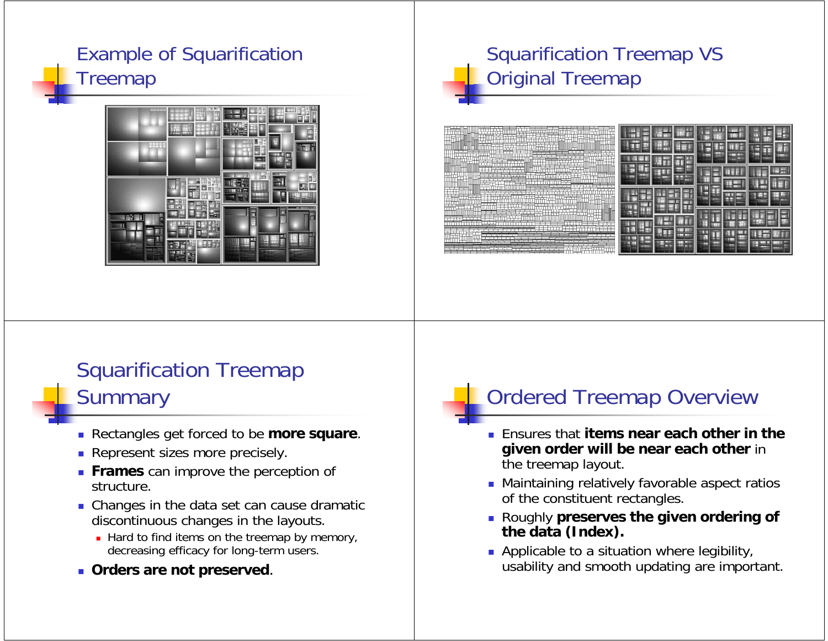### Example of Squarification Treemap



## Squarification Treemap VS Original Treemap



### Squarification Treemap **Summary**

- Rectangles get forced to be **more square**.
- **Represent sizes more precisely.**
- **Frames** can improve the perception of structure.
- Changes in the data set can cause dramatic discontinuous changes in the layouts.
	- Hard to find items on the treemap by memory, decreasing efficacy for long-term users.
- **Orders are not preserved**.

### Ordered Treemap Overview

- Ensures that **items near each other in the given order will be near each other** in the treemap layout.
- Maintaining relatively favorable aspect ratios of the constituent rectangles.
- Roughly **preserves the given ordering of the data (Index).**
- Applicable to a situation where legibility, usability and smooth updating are important.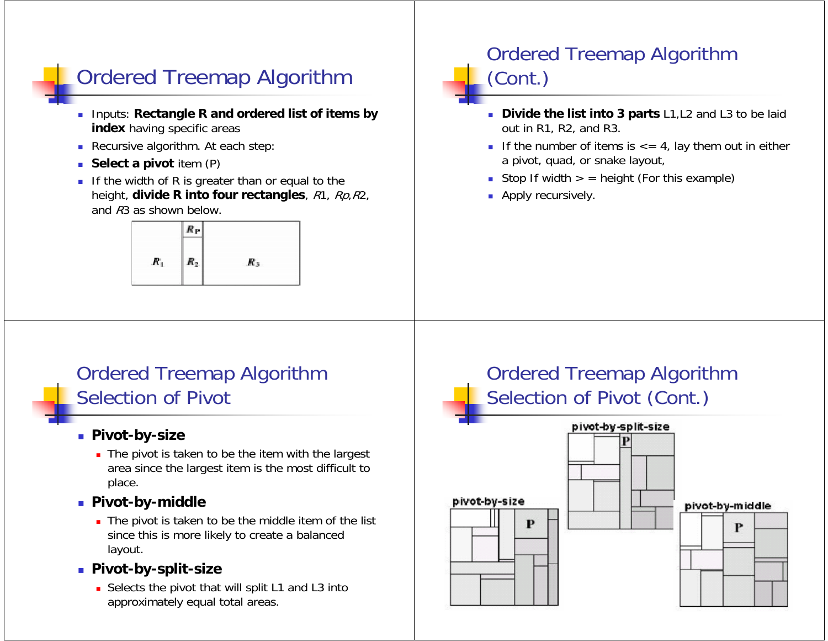### Ordered Treemap Algorithm Ordered Treemap Algorithm (Cont.) **IPUREF And ordered list of items by n Divide the list into 3 parts** L1,L2 and L3 to be laid out in R1, R2, and R3. **index** having specific areas ■ Recursive algorithm. At each step: If the number of items is  $\lt$  = 4, lay them out in either a pivot, quad, or snake layout, **Select a pivot** item (P) ■ Stop If width > = height (For this example) If the width of R is greater than or equal to the height, **divide R into four rectangles**, R1, Rp,R2, **Apply recursively.** and R3 as shown below. $R_{P}$  $R_{1}$  $R_{2}$  $R_{3}$ Ordered Treemap Algorithm Ordered Treemap Algorithm

pivot-by-size

p

Selection of Pivot (Cont.)

pivot-by-split-size P

pivot-by-middle

P

### **Pivot-by-size**

Selection of Pivot

- The pivot is taken to be the item with the largest area since the largest item is the most difficult to place.
- **Pivot-by-middle**
	- The pivot is taken to be the middle item of the list since this is more likely to create a balanced layout.
- **Pivot-by-split-size**
	- Selects the pivot that will split L1 and L3 into approximately equal total areas.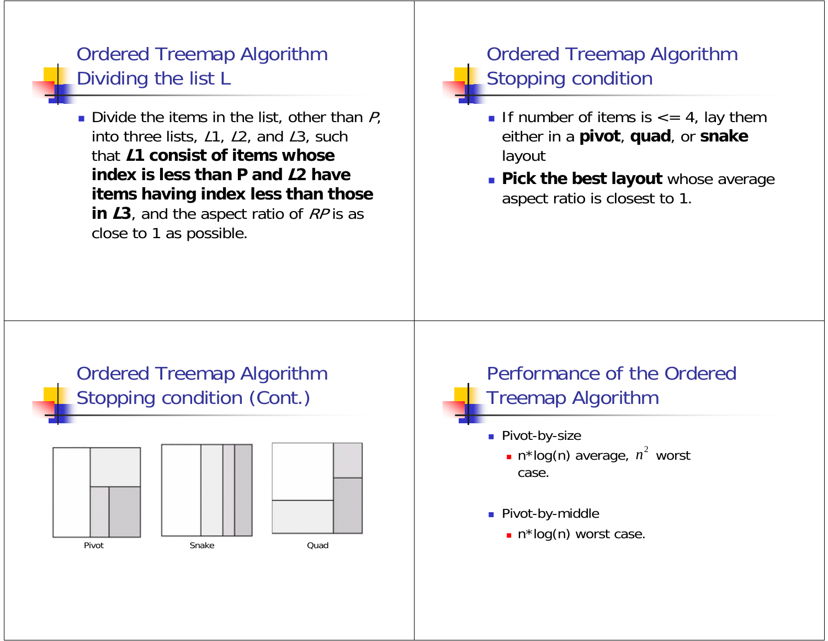### Ordered Treemap Algorithm Dividing the list L

**Divide the items in the list, other than**  $P_i$ into three lists, L1, L2, and L3, such that **L1 consist of items whose index is less than P and L2 have items having index less than those in** *L***3**, and the aspect ratio of *RP* is as close to 1 as possible.

### Ordered Treemap Algorithm Stopping condition

- If number of items is  $\epsilon$  = 4, lay them either in a **pivot**, **quad**, or **snake**  layout
- **Pick the best layout** whose average aspect ratio is closest to 1.

### Ordered Treemap Algorithm Stopping condition (Cont.)



### Performance of the Ordered Treemap Algorithm

- Pivot-by-size
	- **n**\*log(n) average,  $n^2$  worst case.
- Pivot-by-middle
	- <sup>n</sup>\*log(n) worst case.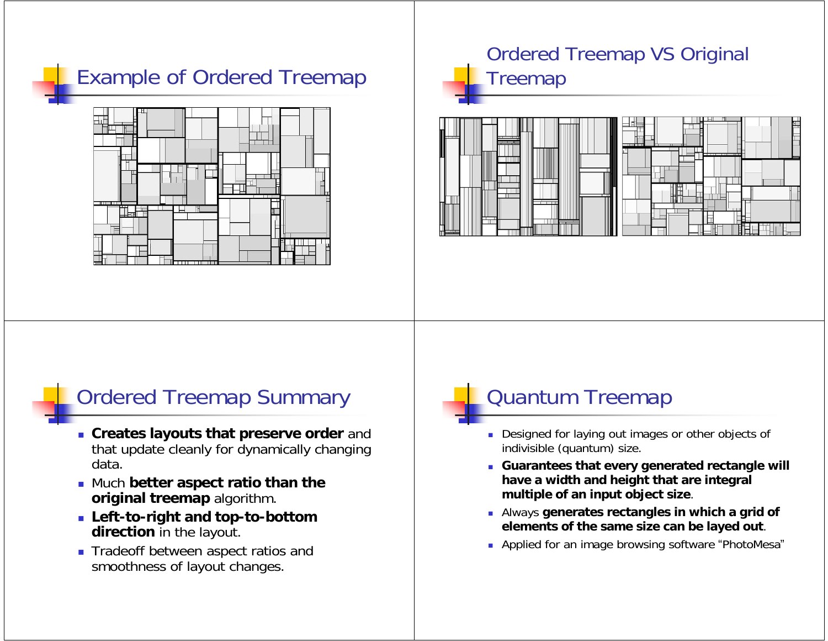

### Ordered Treemap VS Original Treemap



### Ordered Treemap Summary

- **Creates layouts that preserve order** and that update cleanly for dynamically changing data.
- Much **better aspect ratio than the original treemap** algorithm.
- **Left-to-right and top-to-bottom direction** in the layout.
- Tradeoff between aspect ratios and smoothness of layout changes.

# Quantum Treemap

- Designed for laying out images or other objects of indivisible (quantum) size.
- **Guarantees that every generated rectangle will have a width and height that are integral multiple of an input object size**.
- Always **generates rectangles in which a grid of elements of the same size can be layed out**.
- Applied for an image browsing software "PhotoMesa"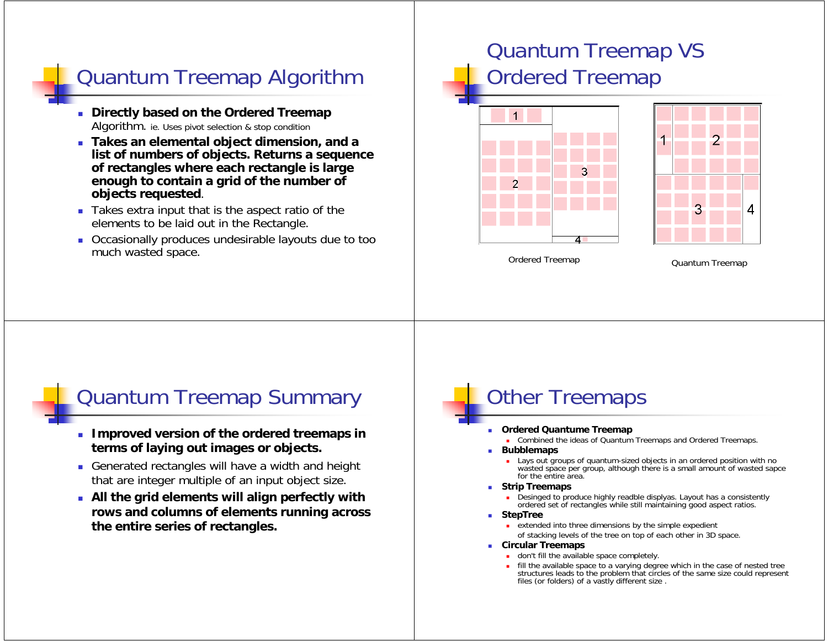### Quantum Treemap Algorithm

- **Directly based on the Ordered Treemap** Algorithm. ie. Uses pivot selection & stop condition
- **Takes an elemental object dimension, and a list of numbers of objects. Returns a sequence of rectangles where each rectangle is large enough to contain a grid of the number of objects requested**.
- Takes extra input that is the aspect ratio of the elements to be laid out in the Rectangle.
- Occasionally produces undesirable layouts due to too much wasted space.

### Quantum Treemap VS Ordered Treemap





Ordered Treemap Cuantum Treemap

### Quantum Treemap Summary

- **Example 3 Improved version of the ordered treemaps in terms of laying out images or objects.**
- Generated rectangles will have a width and height that are integer multiple of an input object size.
- **All the grid elements will align perfectly with rows and columns of elements running across the entire series of rectangles.**

# Other Treemaps

Г

- **Ordered Quantume Treemap**
	- **Combined the ideas of Quantum Treemaps and Ordered Treemaps.**
- г **Bubblemaps**
	- п Lays out groups of quantum-sized objects in an ordered position with no wasted space per group, although there is a small amount of wasted sapce for the entire area.
- Г **Strip Treemaps**
	- п Desinged to produce highly readble displyas. Layout has a consistently ordered set of rectangles while still maintaining good aspect ratios.
- **StepTree**
	- **EXTERGED EXTENDED INTER INTER INTER** expedient of stacking levels of the tree on top of each other in 3D space.
- **Circular Treemaps**
	- don't fill the available space completely.
	- п fill the available space to a varying degree which in the case of nested tree structures leads to the problem that circles of the same size could represent files (or folders) of a vastly different size .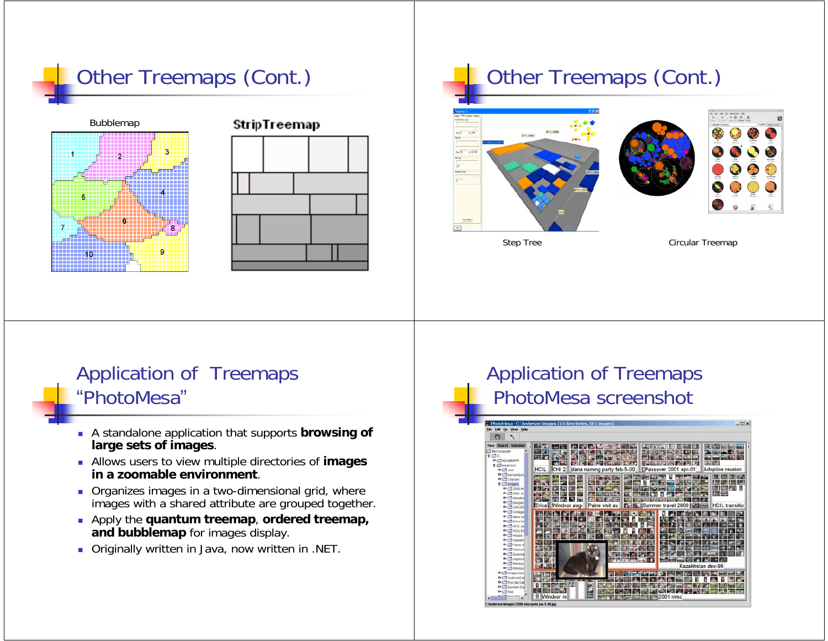





### Other Treemaps (Cont.)





Step Tree Circular Treemap

### Application of Treemaps "PhotoMesa"

- A standalone application that supports **browsing of large sets of images**.
- Allows users to view multiple directories of **images in a zoomable environment**.
- Organizes images in a two-dimensional grid, where images with a shared attribute are grouped together.
- Apply the **quantum treemap**, **ordered treemap, and bubblemap** for images display.
- Originally written in Java, now written in .NET.

### Application of Treemaps PhotoMesa screenshot